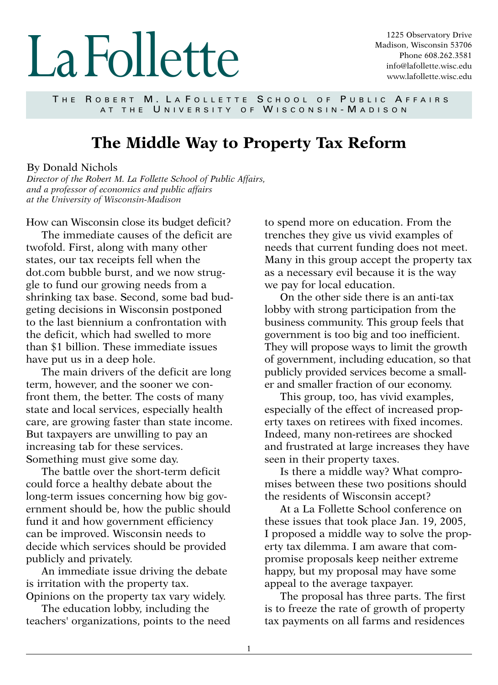## LaFollette

1225 Observatory Drive Madison, Wisconsin 53706 Phone 608.262.3581 info@lafollette.wisc.edu www.lafollette.wisc.edu

THE ROBERT M. LA FOLLETTE SCHOOL OF PUBLIC AFFAIRS AT THE UNIVERSITY OF WISCONSIN-MADISON

## **The Middle Way to Property Tax Reform**

## By Donald Nichols

*Director of the Robert M. La Follette School of Public Affairs, and a professor of economics and public affairs at the University of Wisconsin-Madison*

How can Wisconsin close its budget deficit?

The immediate causes of the deficit are twofold. First, along with many other states, our tax receipts fell when the dot.com bubble burst, and we now struggle to fund our growing needs from a shrinking tax base. Second, some bad budgeting decisions in Wisconsin postponed to the last biennium a confrontation with the deficit, which had swelled to more than \$1 billion. These immediate issues have put us in a deep hole.

The main drivers of the deficit are long term, however, and the sooner we confront them, the better. The costs of many state and local services, especially health care, are growing faster than state income. But taxpayers are unwilling to pay an increasing tab for these services. Something must give some day.

The battle over the short-term deficit could force a healthy debate about the long-term issues concerning how big government should be, how the public should fund it and how government efficiency can be improved. Wisconsin needs to decide which services should be provided publicly and privately.

An immediate issue driving the debate is irritation with the property tax. Opinions on the property tax vary widely.

The education lobby, including the teachers' organizations, points to the need to spend more on education. From the trenches they give us vivid examples of needs that current funding does not meet. Many in this group accept the property tax as a necessary evil because it is the way we pay for local education.

On the other side there is an anti-tax lobby with strong participation from the business community. This group feels that government is too big and too inefficient. They will propose ways to limit the growth of government, including education, so that publicly provided services become a smaller and smaller fraction of our economy.

This group, too, has vivid examples, especially of the effect of increased property taxes on retirees with fixed incomes. Indeed, many non-retirees are shocked and frustrated at large increases they have seen in their property taxes.

Is there a middle way? What compromises between these two positions should the residents of Wisconsin accept?

At a La Follette School conference on these issues that took place Jan. 19, 2005, I proposed a middle way to solve the property tax dilemma. I am aware that compromise proposals keep neither extreme happy, but my proposal may have some appeal to the average taxpayer.

The proposal has three parts. The first is to freeze the rate of growth of property tax payments on all farms and residences